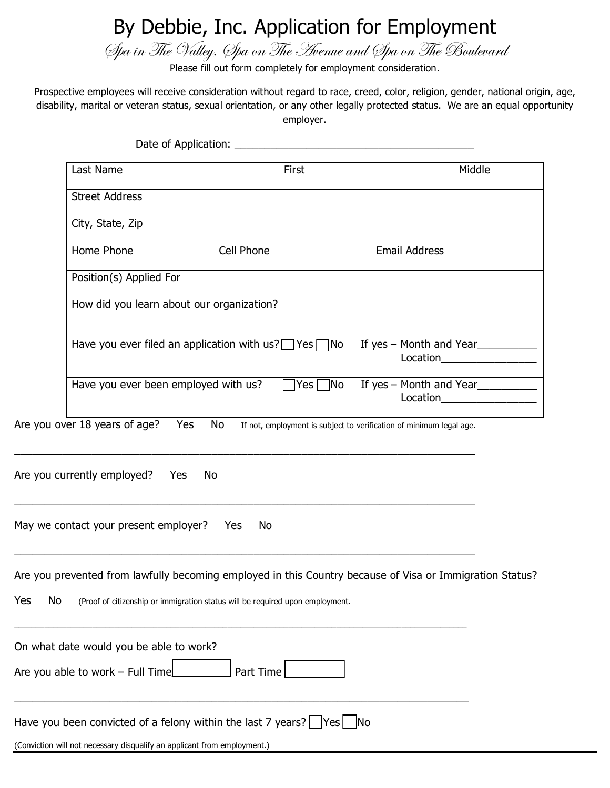# By Debbie, Inc. Application for Employment

Spa in The Valley, Spa on The Avenue and Spa on The Boulevard

Please fill out form completely for employment consideration.

Prospective employees will receive consideration without regard to race, creed, color, religion, gender, national origin, age, disability, marital or veteran status, sexual orientation, or any other legally protected status. We are an equal opportunity employer.

|           | Last Name                                                                | First                                                                                                                                                                                     |                                                                     | Middle |
|-----------|--------------------------------------------------------------------------|-------------------------------------------------------------------------------------------------------------------------------------------------------------------------------------------|---------------------------------------------------------------------|--------|
|           | <b>Street Address</b>                                                    |                                                                                                                                                                                           |                                                                     |        |
|           | City, State, Zip                                                         |                                                                                                                                                                                           |                                                                     |        |
|           | Home Phone                                                               | Cell Phone                                                                                                                                                                                | <b>Email Address</b>                                                |        |
|           | Position(s) Applied For                                                  |                                                                                                                                                                                           |                                                                     |        |
|           |                                                                          | How did you learn about our organization?                                                                                                                                                 |                                                                     |        |
|           |                                                                          | Have you ever filed an application with $us?$ Yes $\neg$ No                                                                                                                               | If yes - Month and Year<br>Location___________________              |        |
|           | Have you ever been employed with us?                                     | $\Box$ Yes $\Box$ No<br>If yes - Month and Year<br>Location____________________                                                                                                           |                                                                     |        |
|           | Are you over 18 years of age?                                            | Yes<br>No                                                                                                                                                                                 | If not, employment is subject to verification of minimum legal age. |        |
|           | Are you currently employed?                                              | Yes<br>No                                                                                                                                                                                 |                                                                     |        |
|           | May we contact your present employer?                                    | Yes<br>No                                                                                                                                                                                 |                                                                     |        |
| Yes<br>No |                                                                          | Are you prevented from lawfully becoming employed in this Country because of Visa or Immigration Status?<br>(Proof of citizenship or immigration status will be required upon employment. |                                                                     |        |
|           | On what date would you be able to work?                                  |                                                                                                                                                                                           |                                                                     |        |
|           | Are you able to work $-$ Full Time                                       | Part Time                                                                                                                                                                                 |                                                                     |        |
|           |                                                                          | Have you been convicted of a felony within the last 7 years? $\Box$ Yes $\Box$ No                                                                                                         |                                                                     |        |
|           | (Conviction will not necessary disqualify an applicant from employment.) |                                                                                                                                                                                           |                                                                     |        |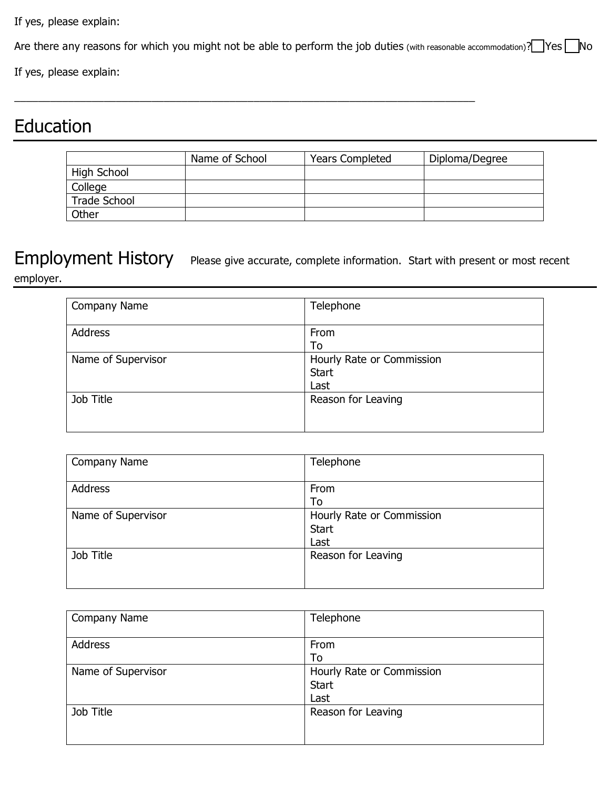If yes, please explain:

Are there any reasons for which you might not be able to perform the job duties (with reasonable accommodation)? Yes No

\_\_\_\_\_\_\_\_\_\_\_\_\_\_\_\_\_\_\_\_\_\_\_\_\_\_\_\_\_\_\_\_\_\_\_\_\_\_\_\_\_\_\_\_\_\_\_\_\_\_\_\_\_\_\_\_\_\_\_\_\_\_\_\_\_\_\_\_\_\_\_\_\_\_\_\_\_

If yes, please explain:

## Education

|                     | Name of School | <b>Years Completed</b> | Diploma/Degree |
|---------------------|----------------|------------------------|----------------|
| High School         |                |                        |                |
| College             |                |                        |                |
| <b>Trade School</b> |                |                        |                |
| Other               |                |                        |                |

Employment History Please give accurate, complete information. Start with present or most recent employer.

| Company Name       | Telephone                 |
|--------------------|---------------------------|
|                    |                           |
| Address            | From                      |
|                    | To                        |
| Name of Supervisor | Hourly Rate or Commission |
|                    | <b>Start</b>              |
|                    | Last                      |
| Job Title          | Reason for Leaving        |
|                    |                           |
|                    |                           |

| Company Name       | Telephone                 |
|--------------------|---------------------------|
|                    |                           |
| Address            | From                      |
|                    | To                        |
| Name of Supervisor | Hourly Rate or Commission |
|                    | <b>Start</b>              |
|                    | Last                      |
| Job Title          | Reason for Leaving        |
|                    |                           |
|                    |                           |

| Company Name       | Telephone                 |
|--------------------|---------------------------|
|                    |                           |
| Address            | From                      |
|                    | To                        |
| Name of Supervisor | Hourly Rate or Commission |
|                    | <b>Start</b>              |
|                    | Last                      |
| Job Title          | Reason for Leaving        |
|                    |                           |
|                    |                           |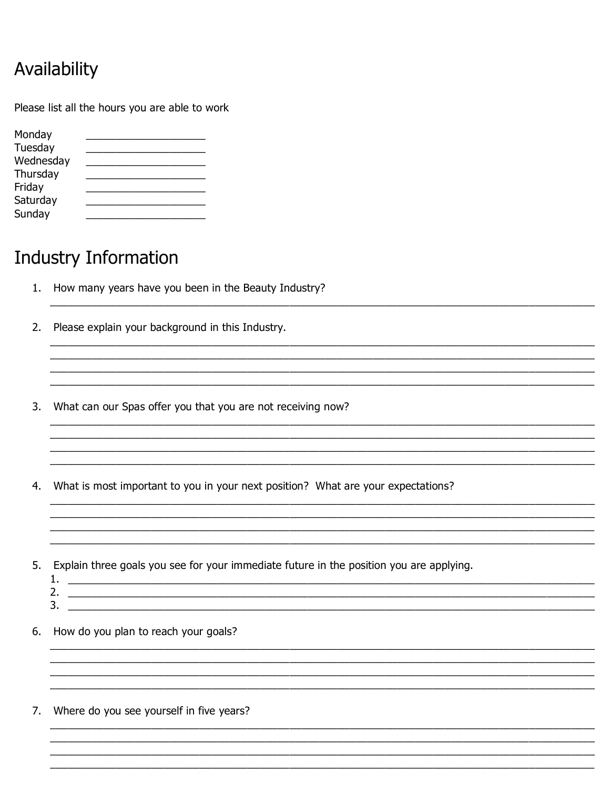## Availability

Please list all the hours you are able to work

| Monday    |  |
|-----------|--|
| Tuesday   |  |
| Wednesday |  |
| Thursday  |  |
| Friday    |  |
| Saturday  |  |
| Sunday    |  |

### **Industry Information**

- 1. How many years have you been in the Beauty Industry?
- 2. Please explain your background in this Industry.
- $3.$ What can our Spas offer you that you are not receiving now?
- 4. What is most important to you in your next position? What are your expectations?

5. Explain three goals you see for your immediate future in the position you are applying.

- 
- 2.  $\qquad \qquad$  $3.$   $\overline{\phantom{a}}$
- 6. How do you plan to reach your goals?
- 7. Where do you see yourself in five years?